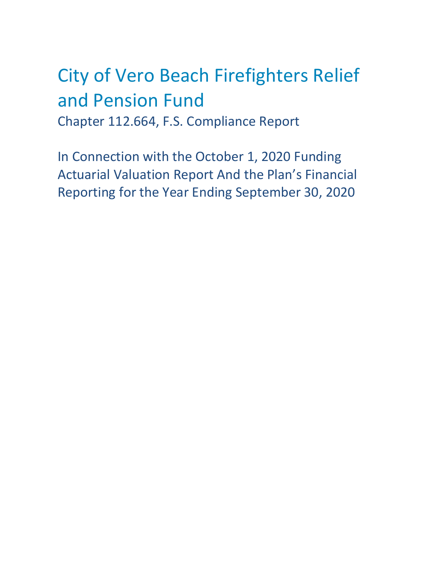# City of Vero Beach Firefighters Relief and Pension Fund Chapter 112.664, F.S. Compliance Report

In Connection with the October 1, 2020 Funding Actuarial Valuation Report And the Plan's Financial Reporting for the Year Ending September 30, 2020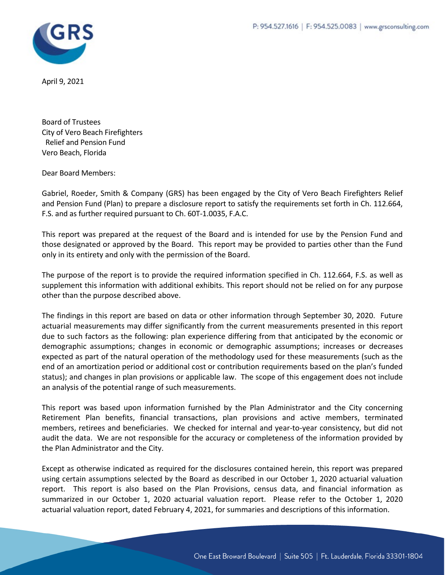

April 9, 2021

Board of Trustees City of Vero Beach Firefighters Relief and Pension Fund Vero Beach, Florida

Dear Board Members:

Gabriel, Roeder, Smith & Company (GRS) has been engaged by the City of Vero Beach Firefighters Relief and Pension Fund (Plan) to prepare a disclosure report to satisfy the requirements set forth in Ch. 112.664, F.S. and as further required pursuant to Ch. 60T-1.0035, F.A.C.

This report was prepared at the request of the Board and is intended for use by the Pension Fund and those designated or approved by the Board. This report may be provided to parties other than the Fund only in its entirety and only with the permission of the Board.

The purpose of the report is to provide the required information specified in Ch. 112.664, F.S. as well as supplement this information with additional exhibits. This report should not be relied on for any purpose other than the purpose described above.

The findings in this report are based on data or other information through September 30, 2020. Future actuarial measurements may differ significantly from the current measurements presented in this report due to such factors as the following: plan experience differing from that anticipated by the economic or demographic assumptions; changes in economic or demographic assumptions; increases or decreases expected as part of the natural operation of the methodology used for these measurements (such as the end of an amortization period or additional cost or contribution requirements based on the plan's funded status); and changes in plan provisions or applicable law. The scope of this engagement does not include an analysis of the potential range of such measurements.

This report was based upon information furnished by the Plan Administrator and the City concerning Retirement Plan benefits, financial transactions, plan provisions and active members, terminated members, retirees and beneficiaries. We checked for internal and year-to-year consistency, but did not audit the data. We are not responsible for the accuracy or completeness of the information provided by the Plan Administrator and the City.

Except as otherwise indicated as required for the disclosures contained herein, this report was prepared using certain assumptions selected by the Board as described in our October 1, 2020 actuarial valuation report. This report is also based on the Plan Provisions, census data, and financial information as summarized in our October 1, 2020 actuarial valuation report. Please refer to the October 1, 2020 actuarial valuation report, dated February 4, 2021, for summaries and descriptions of this information.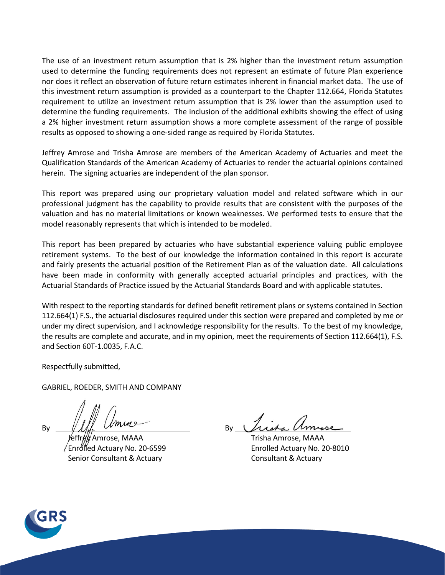The use of an investment return assumption that is 2% higher than the investment return assumption used to determine the funding requirements does not represent an estimate of future Plan experience nor does it reflect an observation of future return estimates inherent in financial market data. The use of this investment return assumption is provided as a counterpart to the Chapter 112.664, Florida Statutes requirement to utilize an investment return assumption that is 2% lower than the assumption used to determine the funding requirements. The inclusion of the additional exhibits showing the effect of using a 2% higher investment return assumption shows a more complete assessment of the range of possible results as opposed to showing a one-sided range as required by Florida Statutes.

Jeffrey Amrose and Trisha Amrose are members of the American Academy of Actuaries and meet the Qualification Standards of the American Academy of Actuaries to render the actuarial opinions contained herein. The signing actuaries are independent of the plan sponsor.

This report was prepared using our proprietary valuation model and related software which in our professional judgment has the capability to provide results that are consistent with the purposes of the valuation and has no material limitations or known weaknesses. We performed tests to ensure that the model reasonably represents that which is intended to be modeled.

This report has been prepared by actuaries who have substantial experience valuing public employee retirement systems. To the best of our knowledge the information contained in this report is accurate and fairly presents the actuarial position of the Retirement Plan as of the valuation date. All calculations have been made in conformity with generally accepted actuarial principles and practices, with the Actuarial Standards of Practice issued by the Actuarial Standards Board and with applicable statutes.

With respect to the reporting standards for defined benefit retirement plans or systems contained in Section 112.664(1) F.S., the actuarial disclosures required under this section were prepared and completed by me or under my direct supervision, and I acknowledge responsibility for the results. To the best of my knowledge, the results are complete and accurate, and in my opinion, meet the requirements of Section 112.664(1), F.S. and Section 60T-1.0035, F.A.C.

Respectfully submitted,

GABRIEL, ROEDER, SMITH AND COMPANY

By  $\frac{1}{\sqrt{1-r}}$  By

 Jeffrey Amrose, MAAA Trisha Amrose, MAAA Enrolled Actuary No. 20-6599 Enrolled Actuary No. 20-8010 Senior Consultant & Actuary Consultant & Actuary

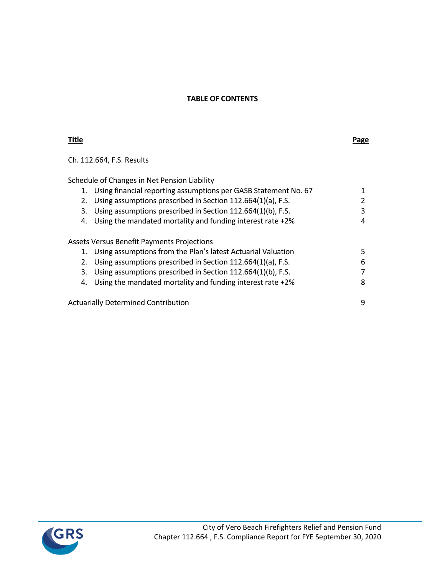## **TABLE OF CONTENTS**

## **Title Page**

Ch. 112.664, F.S. Results

Schedule of Changes in Net Pension Liability

| 1. | Using financial reporting assumptions per GASB Statement No. 67 |    |
|----|-----------------------------------------------------------------|----|
| 2. | Using assumptions prescribed in Section 112.664(1)(a), F.S.     | 2  |
| 3. | Using assumptions prescribed in Section 112.664(1)(b), F.S.     | 3  |
| 4. | Using the mandated mortality and funding interest rate +2%      | 4  |
|    |                                                                 |    |
|    | <b>Assets Versus Benefit Payments Projections</b>               |    |
|    | 1. Using assumptions from the Plan's latest Actuarial Valuation | 5. |
| 2. | Using assumptions prescribed in Section 112.664(1)(a), F.S.     | 6  |
| 3. | Using assumptions prescribed in Section 112.664(1)(b), F.S.     | 7  |
| 4. | Using the mandated mortality and funding interest rate +2%      | 8  |
|    |                                                                 |    |
|    | <b>Actuarially Determined Contribution</b>                      | 9  |

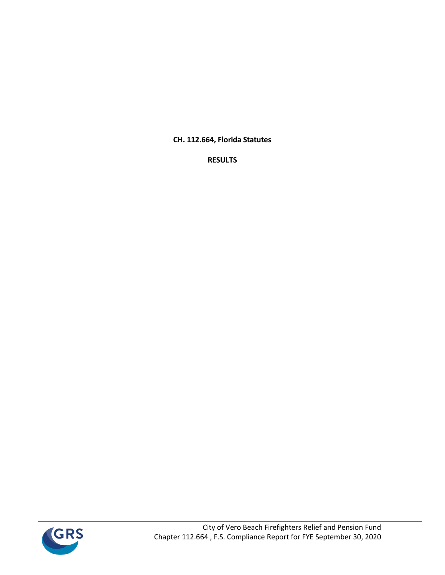**CH. 112.664, Florida Statutes**

**RESULTS**

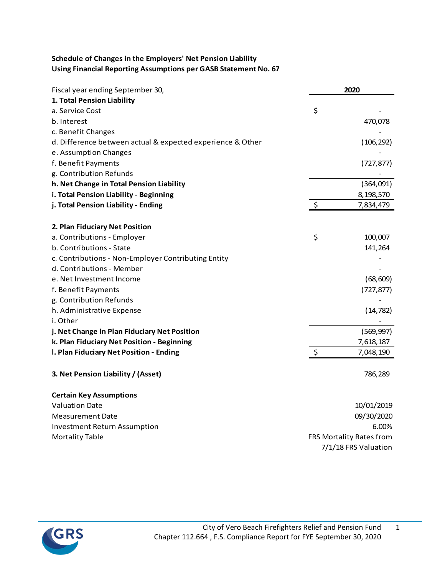# **Schedule of Changes in the Employers' Net Pension Liability Using Financial Reporting Assumptions per GASB Statement No. 67**

| Fiscal year ending September 30,                           | 2020                     |
|------------------------------------------------------------|--------------------------|
| 1. Total Pension Liability                                 |                          |
| a. Service Cost                                            | \$                       |
| b. Interest                                                | 470,078                  |
| c. Benefit Changes                                         |                          |
| d. Difference between actual & expected experience & Other | (106, 292)               |
| e. Assumption Changes                                      |                          |
| f. Benefit Payments                                        | (727, 877)               |
| g. Contribution Refunds                                    |                          |
| h. Net Change in Total Pension Liability                   | (364,091)                |
| i. Total Pension Liability - Beginning                     | 8,198,570                |
| j. Total Pension Liability - Ending                        | \$<br>7,834,479          |
| 2. Plan Fiduciary Net Position                             |                          |
| a. Contributions - Employer                                | \$<br>100,007            |
| b. Contributions - State                                   | 141,264                  |
| c. Contributions - Non-Employer Contributing Entity        |                          |
| d. Contributions - Member                                  |                          |
| e. Net Investment Income                                   | (68, 609)                |
| f. Benefit Payments                                        | (727, 877)               |
| g. Contribution Refunds                                    |                          |
| h. Administrative Expense                                  | (14, 782)                |
| i. Other                                                   |                          |
| j. Net Change in Plan Fiduciary Net Position               | (569, 997)               |
| k. Plan Fiduciary Net Position - Beginning                 | 7,618,187                |
| I. Plan Fiduciary Net Position - Ending                    | \$<br>7,048,190          |
| 3. Net Pension Liability / (Asset)                         | 786,289                  |
| <b>Certain Key Assumptions</b>                             |                          |
| <b>Valuation Date</b>                                      | 10/01/2019               |
| Measurement Date                                           | 09/30/2020               |
| <b>Investment Return Assumption</b>                        | 6.00%                    |
| <b>Mortality Table</b>                                     | FRS Mortality Rates from |
|                                                            | 7/1/18 FRS Valuation     |

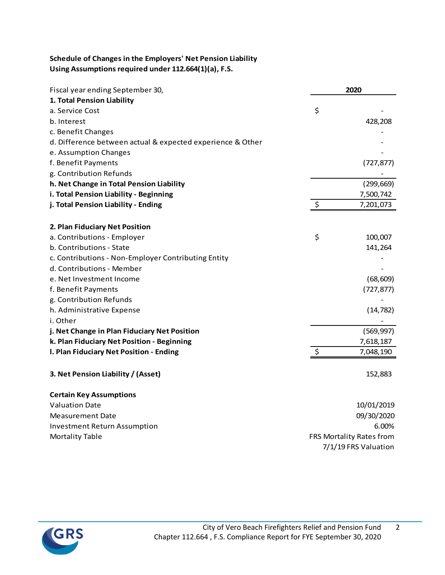# **Schedule of Changes in the Employers' Net Pension Liability Using Assumptions required under 112.664(1)(a), F.S.**

| Fiscal year ending September 30,                           | 2020                     |
|------------------------------------------------------------|--------------------------|
| 1. Total Pension Liability                                 |                          |
| a. Service Cost                                            | \$                       |
| b. Interest                                                | 428,208                  |
| c. Benefit Changes                                         |                          |
| d. Difference between actual & expected experience & Other |                          |
| e. Assumption Changes                                      |                          |
| f. Benefit Payments                                        | (727, 877)               |
| g. Contribution Refunds                                    |                          |
| h. Net Change in Total Pension Liability                   | (299, 669)               |
| i. Total Pension Liability - Beginning                     | 7,500,742                |
| j. Total Pension Liability - Ending                        | \$<br>7,201,073          |
| 2. Plan Fiduciary Net Position                             |                          |
| a. Contributions - Employer                                | \$<br>100,007            |
| b. Contributions - State                                   | 141,264                  |
| c. Contributions - Non-Employer Contributing Entity        |                          |
| d. Contributions - Member                                  |                          |
| e. Net Investment Income                                   | (68, 609)                |
| f. Benefit Payments                                        | (727, 877)               |
| g. Contribution Refunds                                    |                          |
| h. Administrative Expense                                  | (14, 782)                |
| i. Other                                                   |                          |
| j. Net Change in Plan Fiduciary Net Position               | (569, 997)               |
| k. Plan Fiduciary Net Position - Beginning                 | 7,618,187                |
| I. Plan Fiduciary Net Position - Ending                    | \$<br>7,048,190          |
| 3. Net Pension Liability / (Asset)                         | 152,883                  |
| <b>Certain Key Assumptions</b>                             |                          |
| <b>Valuation Date</b>                                      | 10/01/2019               |
| Measurement Date                                           | 09/30/2020               |
| <b>Investment Return Assumption</b>                        | 6.00%                    |
| <b>Mortality Table</b>                                     | FRS Mortality Rates from |
|                                                            | 7/1/19 FRS Valuation     |

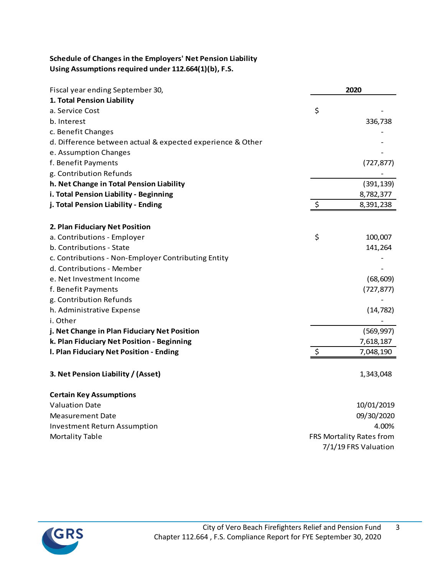# **Schedule of Changes in the Employers' Net Pension Liability Using Assumptions required under 112.664(1)(b), F.S.**

| Fiscal year ending September 30,                           | 2020                     |
|------------------------------------------------------------|--------------------------|
| 1. Total Pension Liability                                 |                          |
| a. Service Cost                                            | \$                       |
| b. Interest                                                | 336,738                  |
| c. Benefit Changes                                         |                          |
| d. Difference between actual & expected experience & Other |                          |
| e. Assumption Changes                                      |                          |
| f. Benefit Payments                                        | (727, 877)               |
| g. Contribution Refunds                                    |                          |
| h. Net Change in Total Pension Liability                   | (391, 139)               |
| i. Total Pension Liability - Beginning                     | 8,782,377                |
| j. Total Pension Liability - Ending                        | \$<br>8,391,238          |
| 2. Plan Fiduciary Net Position                             |                          |
| a. Contributions - Employer                                | \$<br>100,007            |
| b. Contributions - State                                   | 141,264                  |
| c. Contributions - Non-Employer Contributing Entity        |                          |
| d. Contributions - Member                                  |                          |
| e. Net Investment Income                                   | (68, 609)                |
| f. Benefit Payments                                        | (727, 877)               |
| g. Contribution Refunds                                    |                          |
| h. Administrative Expense                                  | (14, 782)                |
| i. Other                                                   |                          |
| j. Net Change in Plan Fiduciary Net Position               | (569, 997)               |
| k. Plan Fiduciary Net Position - Beginning                 | 7,618,187                |
| I. Plan Fiduciary Net Position - Ending                    | \$<br>7,048,190          |
| 3. Net Pension Liability / (Asset)                         | 1,343,048                |
| <b>Certain Key Assumptions</b>                             |                          |
| <b>Valuation Date</b>                                      | 10/01/2019               |
| Measurement Date                                           | 09/30/2020               |
| <b>Investment Return Assumption</b>                        | 4.00%                    |
| <b>Mortality Table</b>                                     | FRS Mortality Rates from |
|                                                            | 7/1/19 FRS Valuation     |

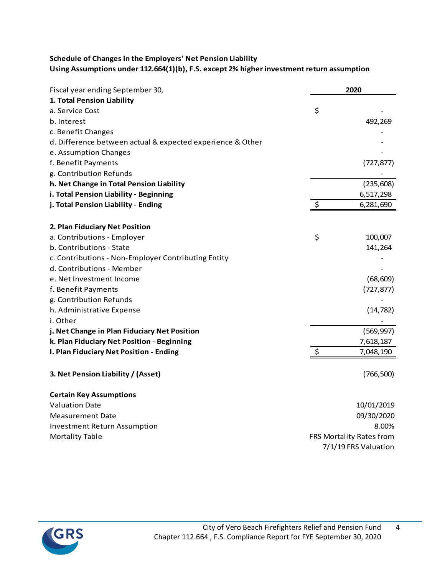# **Schedule of Changes in the Employers' Net Pension Liability Using Assumptions under 112.664(1)(b), F.S. except 2% higher investment return assumption**

| Fiscal year ending September 30,                           | 2020                     |
|------------------------------------------------------------|--------------------------|
| 1. Total Pension Liability                                 |                          |
| a. Service Cost                                            | \$                       |
| b. Interest                                                | 492,269                  |
| c. Benefit Changes                                         |                          |
| d. Difference between actual & expected experience & Other |                          |
| e. Assumption Changes                                      |                          |
| f. Benefit Payments                                        | (727, 877)               |
| g. Contribution Refunds                                    |                          |
| h. Net Change in Total Pension Liability                   | (235, 608)               |
| i. Total Pension Liability - Beginning                     | 6,517,298                |
| j. Total Pension Liability - Ending                        | \$<br>6,281,690          |
| 2. Plan Fiduciary Net Position                             |                          |
| a. Contributions - Employer                                | \$<br>100,007            |
| b. Contributions - State                                   | 141,264                  |
| c. Contributions - Non-Employer Contributing Entity        |                          |
| d. Contributions - Member                                  |                          |
| e. Net Investment Income                                   | (68, 609)                |
| f. Benefit Payments                                        | (727, 877)               |
| g. Contribution Refunds                                    |                          |
| h. Administrative Expense                                  | (14, 782)                |
| i. Other                                                   |                          |
| j. Net Change in Plan Fiduciary Net Position               | (569, 997)               |
| k. Plan Fiduciary Net Position - Beginning                 | 7,618,187                |
| I. Plan Fiduciary Net Position - Ending                    | 7,048,190                |
| 3. Net Pension Liability / (Asset)                         | (766, 500)               |
| <b>Certain Key Assumptions</b>                             |                          |
| <b>Valuation Date</b>                                      | 10/01/2019               |
| Measurement Date                                           | 09/30/2020               |
| <b>Investment Return Assumption</b>                        | 8.00%                    |
| <b>Mortality Table</b>                                     | FRS Mortality Rates from |
|                                                            | 7/1/19 FRS Valuation     |

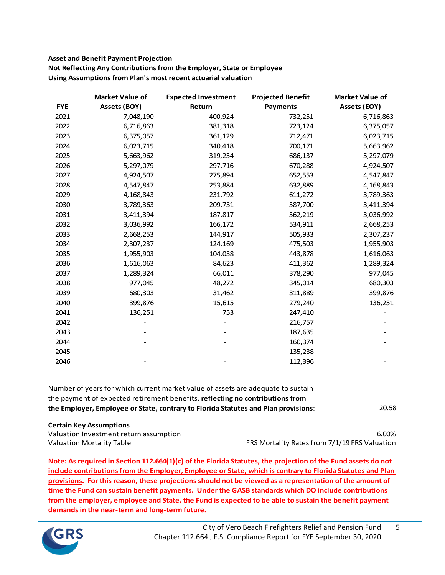### **Asset and Benefit Payment Projection Not Reflecting Any Contributions from the Employer, State or Employee Using Assumptions from Plan's most recent actuarial valuation**

|            | <b>Market Value of</b> | <b>Expected Investment</b> | <b>Projected Benefit</b> | <b>Market Value of</b> |
|------------|------------------------|----------------------------|--------------------------|------------------------|
| <b>FYE</b> | <b>Assets (BOY)</b>    | Return                     | <b>Payments</b>          | <b>Assets (EOY)</b>    |
| 2021       | 7,048,190              | 400,924                    | 732,251                  | 6,716,863              |
| 2022       | 6,716,863              | 381,318                    | 723,124                  | 6,375,057              |
| 2023       | 6,375,057              | 361,129                    | 712,471                  | 6,023,715              |
| 2024       | 6,023,715              | 340,418                    | 700,171                  | 5,663,962              |
| 2025       | 5,663,962              | 319,254                    | 686,137                  | 5,297,079              |
| 2026       | 5,297,079              | 297,716                    | 670,288                  | 4,924,507              |
| 2027       | 4,924,507              | 275,894                    | 652,553                  | 4,547,847              |
| 2028       | 4,547,847              | 253,884                    | 632,889                  | 4,168,843              |
| 2029       | 4,168,843              | 231,792                    | 611,272                  | 3,789,363              |
| 2030       | 3,789,363              | 209,731                    | 587,700                  | 3,411,394              |
| 2031       | 3,411,394              | 187,817                    | 562,219                  | 3,036,992              |
| 2032       | 3,036,992              | 166,172                    | 534,911                  | 2,668,253              |
| 2033       | 2,668,253              | 144,917                    | 505,933                  | 2,307,237              |
| 2034       | 2,307,237              | 124,169                    | 475,503                  | 1,955,903              |
| 2035       | 1,955,903              | 104,038                    | 443,878                  | 1,616,063              |
| 2036       | 1,616,063              | 84,623                     | 411,362                  | 1,289,324              |
| 2037       | 1,289,324              | 66,011                     | 378,290                  | 977,045                |
| 2038       | 977,045                | 48,272                     | 345,014                  | 680,303                |
| 2039       | 680,303                | 31,462                     | 311,889                  | 399,876                |
| 2040       | 399,876                | 15,615                     | 279,240                  | 136,251                |
| 2041       | 136,251                | 753                        | 247,410                  |                        |
| 2042       |                        |                            | 216,757                  |                        |
| 2043       |                        |                            | 187,635                  |                        |
| 2044       |                        |                            | 160,374                  |                        |
| 2045       |                        |                            | 135,238                  |                        |
| 2046       |                        |                            | 112,396                  |                        |

| Number of years for which current market value of assets are adequate to sustain   |       |
|------------------------------------------------------------------------------------|-------|
| the payment of expected retirement benefits, reflecting no contributions from      |       |
| the Employer, Employee or State, contrary to Florida Statutes and Plan provisions: | 20.58 |

#### **Certain Key Assumptions**

Valuation Investment return assumption 6.00% Valuation Mortality Table **FRS Mortality Rates from 7/1/19 FRS Valuation** 

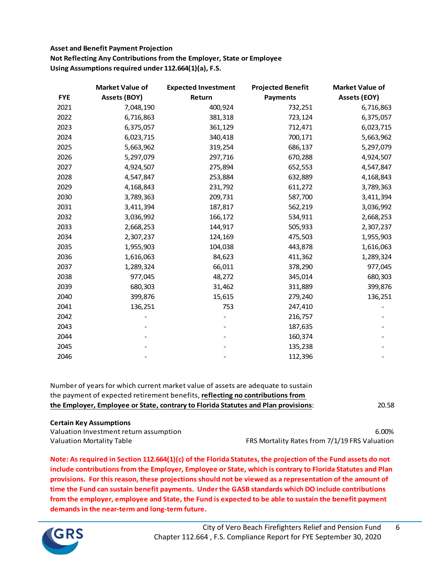# **Asset and Benefit Payment Projection Not Reflecting Any Contributions from the Employer, State or Employee Using Assumptions required under 112.664(1)(a), F.S.**

|            | <b>Market Value of</b> | <b>Expected Investment</b> | <b>Projected Benefit</b> | <b>Market Value of</b> |
|------------|------------------------|----------------------------|--------------------------|------------------------|
| <b>FYE</b> | <b>Assets (BOY)</b>    | Return                     | <b>Payments</b>          | <b>Assets (EOY)</b>    |
| 2021       | 7,048,190              | 400,924                    | 732,251                  | 6,716,863              |
| 2022       | 6,716,863              | 381,318                    | 723,124                  | 6,375,057              |
| 2023       | 6,375,057              | 361,129                    | 712,471                  | 6,023,715              |
| 2024       | 6,023,715              | 340,418                    | 700,171                  | 5,663,962              |
| 2025       | 5,663,962              | 319,254                    | 686,137                  | 5,297,079              |
| 2026       | 5,297,079              | 297,716                    | 670,288                  | 4,924,507              |
| 2027       | 4,924,507              | 275,894                    | 652,553                  | 4,547,847              |
| 2028       | 4,547,847              | 253,884                    | 632,889                  | 4,168,843              |
| 2029       | 4,168,843              | 231,792                    | 611,272                  | 3,789,363              |
| 2030       | 3,789,363              | 209,731                    | 587,700                  | 3,411,394              |
| 2031       | 3,411,394              | 187,817                    | 562,219                  | 3,036,992              |
| 2032       | 3,036,992              | 166,172                    | 534,911                  | 2,668,253              |
| 2033       | 2,668,253              | 144,917                    | 505,933                  | 2,307,237              |
| 2034       | 2,307,237              | 124,169                    | 475,503                  | 1,955,903              |
| 2035       | 1,955,903              | 104,038                    | 443,878                  | 1,616,063              |
| 2036       | 1,616,063              | 84,623                     | 411,362                  | 1,289,324              |
| 2037       | 1,289,324              | 66,011                     | 378,290                  | 977,045                |
| 2038       | 977,045                | 48,272                     | 345,014                  | 680,303                |
| 2039       | 680,303                | 31,462                     | 311,889                  | 399,876                |
| 2040       | 399,876                | 15,615                     | 279,240                  | 136,251                |
| 2041       | 136,251                | 753                        | 247,410                  |                        |
| 2042       |                        |                            | 216,757                  |                        |
| 2043       |                        |                            | 187,635                  |                        |
| 2044       |                        |                            | 160,374                  |                        |
| 2045       |                        |                            | 135,238                  |                        |
| 2046       |                        |                            | 112,396                  |                        |

20.58 Number of years for which current market value of assets are adequate to sustain the payment of expected retirement benefits, **reflecting no contributions from the Employer, Employee or State, contrary to Florida Statutes and Plan provisions**:

#### **Certain Key Assumptions**

Valuation Investment return assumption 6.00%

Valuation Mortality Table FRS Mortality Rates from 7/1/19 FRS Valuation

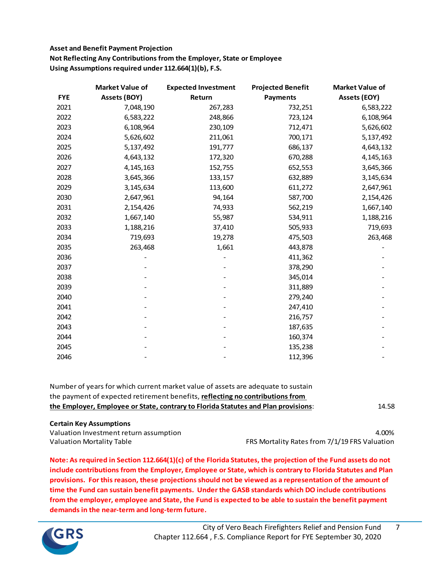# **Asset and Benefit Payment Projection Not Reflecting Any Contributions from the Employer, State or Employee Using Assumptions required under 112.664(1)(b), F.S.**

|            | <b>Market Value of</b> | <b>Expected Investment</b> | <b>Projected Benefit</b> | <b>Market Value of</b> |
|------------|------------------------|----------------------------|--------------------------|------------------------|
| <b>FYE</b> | Assets (BOY)           | Return                     | <b>Payments</b>          | <b>Assets (EOY)</b>    |
| 2021       | 7,048,190              | 267,283                    | 732,251                  | 6,583,222              |
| 2022       | 6,583,222              | 248,866                    | 723,124                  | 6,108,964              |
| 2023       | 6,108,964              | 230,109                    | 712,471                  | 5,626,602              |
| 2024       | 5,626,602              | 211,061                    | 700,171                  | 5,137,492              |
| 2025       | 5,137,492              | 191,777                    | 686,137                  | 4,643,132              |
| 2026       | 4,643,132              | 172,320                    | 670,288                  | 4, 145, 163            |
| 2027       | 4, 145, 163            | 152,755                    | 652,553                  | 3,645,366              |
| 2028       | 3,645,366              | 133,157                    | 632,889                  | 3,145,634              |
| 2029       | 3,145,634              | 113,600                    | 611,272                  | 2,647,961              |
| 2030       | 2,647,961              | 94,164                     | 587,700                  | 2,154,426              |
| 2031       | 2,154,426              | 74,933                     | 562,219                  | 1,667,140              |
| 2032       | 1,667,140              | 55,987                     | 534,911                  | 1,188,216              |
| 2033       | 1,188,216              | 37,410                     | 505,933                  | 719,693                |
| 2034       | 719,693                | 19,278                     | 475,503                  | 263,468                |
| 2035       | 263,468                | 1,661                      | 443,878                  |                        |
| 2036       |                        |                            | 411,362                  |                        |
| 2037       |                        |                            | 378,290                  |                        |
| 2038       |                        |                            | 345,014                  |                        |
| 2039       |                        |                            | 311,889                  |                        |
| 2040       |                        |                            | 279,240                  |                        |
| 2041       |                        |                            | 247,410                  |                        |
| 2042       |                        |                            | 216,757                  |                        |
| 2043       |                        |                            | 187,635                  |                        |
| 2044       |                        |                            | 160,374                  |                        |
| 2045       |                        |                            | 135,238                  |                        |
| 2046       |                        |                            | 112,396                  |                        |

| Number of years for which current market value of assets are adequate to sustain   |       |
|------------------------------------------------------------------------------------|-------|
| the payment of expected retirement benefits, reflecting no contributions from      |       |
| the Employer, Employee or State, contrary to Florida Statutes and Plan provisions: | 14.58 |
|                                                                                    |       |

#### **Certain Key Assumptions**

Valuation Investment return assumption and the control of the control of the control of the control of the control of the control of the control of the control of the control of the control of the control of the control of Valuation Mortality Table FRS Mortality Rates from 7/1/19 FRS Valuation

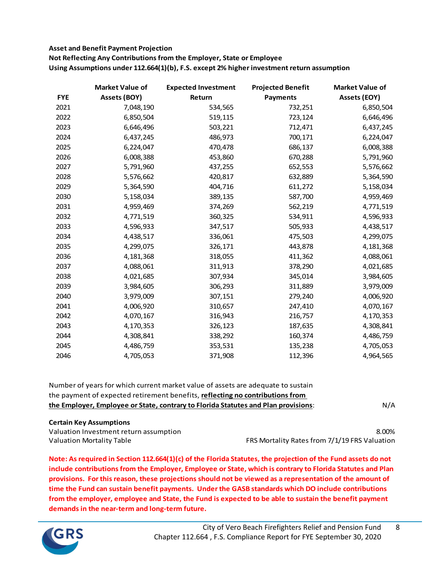#### **Asset and Benefit Payment Projection**

**Not Reflecting Any Contributions from the Employer, State or Employee Using Assumptions under 112.664(1)(b), F.S. except 2% higher investment return assumption**

|            | <b>Market Value of</b> | <b>Expected Investment</b> | <b>Projected Benefit</b> | <b>Market Value of</b> |
|------------|------------------------|----------------------------|--------------------------|------------------------|
| <b>FYE</b> | <b>Assets (BOY)</b>    | Return                     | <b>Payments</b>          | <b>Assets (EOY)</b>    |
| 2021       | 7,048,190              | 534,565                    | 732,251                  | 6,850,504              |
| 2022       | 6,850,504              | 519,115                    | 723,124                  | 6,646,496              |
| 2023       | 6,646,496              | 503,221                    | 712,471                  | 6,437,245              |
| 2024       | 6,437,245              | 486,973                    | 700,171                  | 6,224,047              |
| 2025       | 6,224,047              | 470,478                    | 686,137                  | 6,008,388              |
| 2026       | 6,008,388              | 453,860                    | 670,288                  | 5,791,960              |
| 2027       | 5,791,960              | 437,255                    | 652,553                  | 5,576,662              |
| 2028       | 5,576,662              | 420,817                    | 632,889                  | 5,364,590              |
| 2029       | 5,364,590              | 404,716                    | 611,272                  | 5,158,034              |
| 2030       | 5,158,034              | 389,135                    | 587,700                  | 4,959,469              |
| 2031       | 4,959,469              | 374,269                    | 562,219                  | 4,771,519              |
| 2032       | 4,771,519              | 360,325                    | 534,911                  | 4,596,933              |
| 2033       | 4,596,933              | 347,517                    | 505,933                  | 4,438,517              |
| 2034       | 4,438,517              | 336,061                    | 475,503                  | 4,299,075              |
| 2035       | 4,299,075              | 326,171                    | 443,878                  | 4,181,368              |
| 2036       | 4,181,368              | 318,055                    | 411,362                  | 4,088,061              |
| 2037       | 4,088,061              | 311,913                    | 378,290                  | 4,021,685              |
| 2038       | 4,021,685              | 307,934                    | 345,014                  | 3,984,605              |
| 2039       | 3,984,605              | 306,293                    | 311,889                  | 3,979,009              |
| 2040       | 3,979,009              | 307,151                    | 279,240                  | 4,006,920              |
| 2041       | 4,006,920              | 310,657                    | 247,410                  | 4,070,167              |
| 2042       | 4,070,167              | 316,943                    | 216,757                  | 4,170,353              |
| 2043       | 4,170,353              | 326,123                    | 187,635                  | 4,308,841              |
| 2044       | 4,308,841              | 338,292                    | 160,374                  | 4,486,759              |
| 2045       | 4,486,759              | 353,531                    | 135,238                  | 4,705,053              |
| 2046       | 4,705,053              | 371,908                    | 112,396                  | 4,964,565              |

| Number of years for which current market value of assets are adequate to sustain   |     |
|------------------------------------------------------------------------------------|-----|
| the payment of expected retirement benefits, reflecting no contributions from      | N/A |
| the Employer, Employee or State, contrary to Florida Statutes and Plan provisions: |     |

# **Certain Key Assumptions**

Valuation Investment return assumption 8.00% Valuation Mortality Table **FRS Mortality Rates from 7/1/19 FRS** Valuation